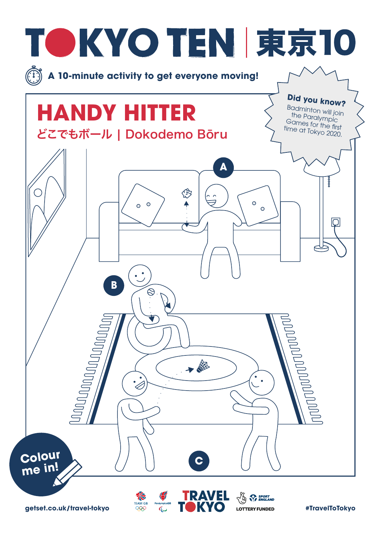